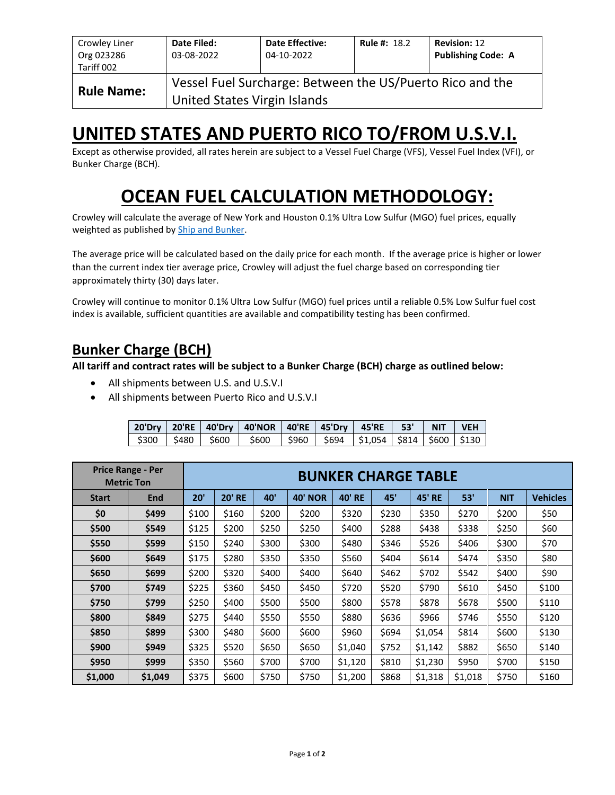| Crowley Liner<br>Org 023286<br>Tariff 002 | Date Filed:<br>03-08-2022                                                                 | <b>Date Effective:</b><br>04-10-2022 | <b>Rule #: 18.2</b> | <b>Revision: 12</b><br><b>Publishing Code: A</b> |  |  |  |  |
|-------------------------------------------|-------------------------------------------------------------------------------------------|--------------------------------------|---------------------|--------------------------------------------------|--|--|--|--|
| <b>Rule Name:</b>                         | Vessel Fuel Surcharge: Between the US/Puerto Rico and the<br>United States Virgin Islands |                                      |                     |                                                  |  |  |  |  |

## **UNITED STATES AND PUERTO RICO TO/FROM U.S.V.I.**

Except as otherwise provided, all rates herein are subject to a Vessel Fuel Charge (VFS), Vessel Fuel Index (VFI), or Bunker Charge (BCH).

# **OCEAN FUEL CALCULATION METHODOLOGY:**

Crowley will calculate the average of New York and Houston 0.1% Ultra Low Sulfur (MGO) fuel prices, equally weighted as published by [Ship and Bunker.](https://shipandbunker.com/)

The average price will be calculated based on the daily price for each month. If the average price is higher or lower than the current index tier average price, Crowley will adjust the fuel charge based on corresponding tier approximately thirty (30) days later.

Crowley will continue to monitor 0.1% Ultra Low Sulfur (MGO) fuel prices until a reliable 0.5% Low Sulfur fuel cost index is available, sufficient quantities are available and compatibility testing has been confirmed.

## **Bunker Charge (BCH)**

**All tariff and contract rates will be subject to a Bunker Charge (BCH) charge as outlined below:**

- All shipments between U.S. and U.S.V.I
- All shipments between Puerto Rico and U.S.V.I

|  | 20'Dry   20'RE   40'Dry   40'NOR   40'RE   45'Dry   45'RE   53'   NIT   VEH     |  |  |  |
|--|---------------------------------------------------------------------------------|--|--|--|
|  | \$300   \$480   \$600   \$600   \$960   \$694   \$1,054   \$814   \$600   \$130 |  |  |  |

|              | <b>Price Range - Per</b><br><b>Metric Ton</b> | <b>BUNKER CHARGE TABLE</b> |               |       |                |               |       |               |         |            |                 |  |
|--------------|-----------------------------------------------|----------------------------|---------------|-------|----------------|---------------|-------|---------------|---------|------------|-----------------|--|
| <b>Start</b> | End                                           | 20'                        | <b>20' RE</b> | 40'   | <b>40' NOR</b> | <b>40' RE</b> | 45'   | <b>45' RE</b> | 53'     | <b>NIT</b> | <b>Vehicles</b> |  |
| \$0          | \$499                                         | \$100                      | \$160         | \$200 | \$200          | \$320         | \$230 | \$350         | \$270   | \$200      | \$50            |  |
| \$500        | \$549                                         | \$125                      | \$200         | \$250 | \$250          | \$400         | \$288 | \$438         | \$338   | \$250      | \$60            |  |
| \$550        | \$599                                         | \$150                      | \$240         | \$300 | \$300          | \$480         | \$346 | \$526         | \$406   | \$300      | \$70            |  |
| \$600        | \$649                                         | \$175                      | \$280         | \$350 | \$350          | \$560         | \$404 | \$614         | \$474   | \$350      | \$80            |  |
| \$650        | \$699                                         | \$200                      | \$320         | \$400 | \$400          | \$640         | \$462 | \$702         | \$542   | \$400      | \$90            |  |
| \$700        | \$749                                         | \$225                      | \$360         | \$450 | \$450          | \$720         | \$520 | \$790         | \$610   | \$450      | \$100           |  |
| \$750        | \$799                                         | \$250                      | \$400         | \$500 | \$500          | \$800         | \$578 | \$878         | \$678   | \$500      | \$110           |  |
| \$800        | \$849                                         | \$275                      | \$440         | \$550 | \$550          | \$880         | \$636 | \$966         | \$746   | \$550      | \$120           |  |
| \$850        | \$899                                         | \$300                      | \$480         | \$600 | \$600          | \$960         | \$694 | \$1,054       | \$814   | \$600      | \$130           |  |
| \$900        | \$949                                         | \$325                      | \$520         | \$650 | \$650          | \$1,040       | \$752 | \$1,142       | \$882   | \$650      | \$140           |  |
| \$950        | \$999                                         | \$350                      | \$560         | \$700 | \$700          | \$1,120       | \$810 | \$1,230       | \$950   | \$700      | \$150           |  |
| \$1,000      | \$1,049                                       | \$375                      | \$600         | \$750 | \$750          | \$1,200       | \$868 | \$1,318       | \$1,018 | \$750      | \$160           |  |